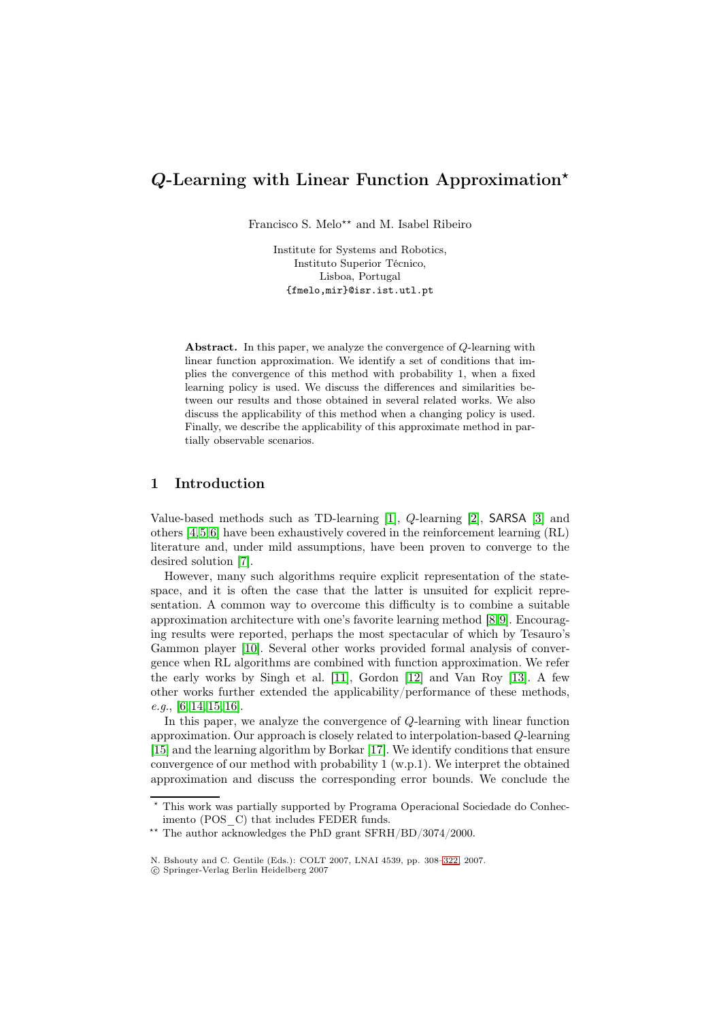# *<sup>Q</sup>*-Learning with Linear Function Approximation*-*

Francisco S. Melo<sup>\*\*</sup> and M. Isabel Ribeiro

Institute for Systems and Robotics, Instituto Superior Técnico, Lisboa, Portugal {fmelo,mir}@isr.ist.utl.pt

Abstract. In this paper, we analyze the convergence of Q-learning with linear function approximation. We identify a set of conditions that implies the convergence of this method with probability 1, when a fixed learning policy is used. We discuss the differences and similarities between our results and those obtained in several related works. We also discuss the applicability of this method when a changing policy is used. Finally, we describe the applicability of this approximate method in partially observable scenarios.

# 1 Introduction

Value-based methods such as TD-learning [1], Q-learning [2], SARSA [3] and others [4,5,6] have been exhaustively covered in the reinforcement learning (RL) literature and, under mild assumptions, have been proven to converge to the desired solution [7].

However, many such algorithms require e[xp](#page-13-0)licit represen[ta](#page-13-1)tion of th[e s](#page-13-2)tatespace, [an](#page-13-3)[d](#page-13-4) [it](#page-13-5) is often the case that the latter is unsuited for explicit representation. A common way to overcome this difficulty is to combine a suitable approximation a[rch](#page-13-6)itecture with one's favorite learning method [8,9]. Encouraging results were reported, perhaps the most spectacular of which by Tesauro's Gammon player [10]. Several other works provided formal analysis of convergence when RL algorithms are combined with function approximation. We refer the early works by Singh et al. [11], Gordon [12] and Van [Ro](#page-13-7)[y](#page-13-8) [13]. A few other works further extended the applicability/performance of these methods, *e.g.*, [6, 14, 15, 16][.](#page-13-9)

In this paper, we analyze the convergence of Q-learning with linear function approximation. Our approach is cl[osely](#page-13-10) related to [int](#page-13-11)erpolation-based [Q](#page-14-0)-learning [15] and the learning algorithm by Borkar [17]. We identify conditions that ensure conv[erg](#page-13-5)[en](#page-14-1)[ce o](#page-14-2)[f ou](#page-14-3)r method with probability 1 (w.p.1). We interpret the obtained approximation and discuss the corresponding error bounds. We conclude the

<sup>\*</sup> [T](#page-14-2)his work was partially supported by Pro[gram](#page-14-4)a Operacional Sociedade do Conhecimento (POS C) that includes FEDER funds.

<sup>\*\*</sup> The author acknowledges the PhD grant SFRH/BD/3074/2000.

N. Bshouty and C. Gentile (Eds.): COLT 2007, LNAI 4539, pp. 308–322, 2007.

<sup>-</sup>c Springer-Verlag Berlin Heidelberg 2007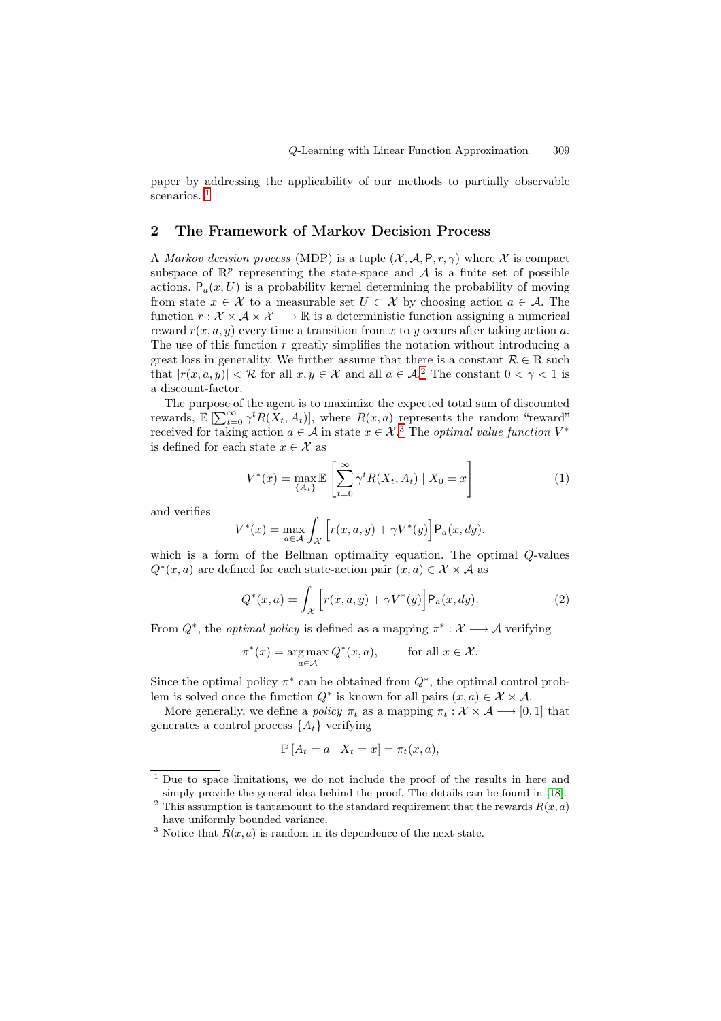paper by addressing the applicability of our methods to partially observable scenarios.<sup>1</sup>

## 2 The Framework of Markov Decision Process

<span id="page-1-2"></span>A *Markov* [d](#page-1-0)ecision process (MDP) is a tuple  $(\mathcal{X}, \mathcal{A}, P, r, \gamma)$  where X is compact subspace of  $\mathbb{R}^p$  representing the state-space and A is a finite set of possible actions.  $P_a(x, U)$  is a probability kernel determining the probability of moving from state  $x \in \mathcal{X}$  to a measurable set  $U \subset \mathcal{X}$  by choosing action  $a \in \mathcal{A}$ . The function  $r : \mathcal{X} \times \mathcal{A} \times \mathcal{X} \longrightarrow \mathbb{R}$  is a deterministic function assigning a numerical reward  $r(x, a, y)$  every time a transition from x to y occurs after taking action a. The use of this function  $r$  greatly simplifies the notation without introducing a great loss in generality. We further assume that there is a constant  $\mathcal{R} \in \mathbb{R}$  such that  $|r(x, a, y)| < R$  for all  $x, y \in \mathcal{X}$  and all  $a \in \mathcal{A}$ .<sup>2</sup> The constant  $0 < \gamma < 1$  is a discount-factor.

The purpose of the agent is to maximize the expected total sum of discounted rewards,  $\mathbb{E} \left[ \sum_{t=0}^{\infty} \gamma^t R(X_t, A_t) \right]$ , where  $R(x, a)$  represents the random "reward" received for taking action  $a \in \mathcal{A}$  in state  $x \in \mathcal{X}$ <sup>3</sup>. T[he](#page-1-1) *optimal value function*  $V^*$ is defined for each state  $x \in \mathcal{X}$  as

$$
V^*(x) = \max_{\{A_t\}} \mathbb{E}\left[\sum_{t=0}^{\infty} \gamma^t R(X_t, A_t) \mid X_0 = x\right]
$$
 (1)

and verifies

$$
V^*(x) = \max_{a \in \mathcal{A}} \int_{\mathcal{X}} \left[ r(x, a, y) + \gamma V^*(y) \right] \mathsf{P}_a(x, dy).
$$

which is a form of the Bellman optimality equation. The optimal Q-values  $Q^*(x, a)$  are defined for each state-action pair  $(x, a) \in \mathcal{X} \times \mathcal{A}$  as

$$
Q^*(x, a) = \int_{\mathcal{X}} \left[ r(x, a, y) + \gamma V^*(y) \right] \mathsf{P}_a(x, dy). \tag{2}
$$

From  $Q^*$ , the *optimal policy* is defined as a mapping  $\pi^* : \mathcal{X} \longrightarrow \mathcal{A}$  verifying

$$
\pi^*(x) = \underset{a \in \mathcal{A}}{\arg \max} Q^*(x, a), \quad \text{for all } x \in \mathcal{X}.
$$

Since the optimal policy  $\pi^*$  can be obtained from  $Q^*$ , the optimal control problem is solved once the function  $Q^*$  is known for all pairs  $(x, a) \in \mathcal{X} \times \mathcal{A}$ .

More generally, we define a *policy*  $\pi_t$  as a mapping  $\pi_t : \mathcal{X} \times \mathcal{A} \longrightarrow [0,1]$  that generates a control process  $\{A_t\}$  verifying

$$
\mathbb{P}\left[A_t = a \mid X_t = x\right] = \pi_t(x, a),
$$

<sup>1</sup> Due to space limitations, we do not include the proof of the results in here and simply provide the general idea behind the proof. The details can be found in [18].

<sup>&</sup>lt;sup>2</sup> This assumption is tantamount to the standard requirement that the rewards  $R(x, a)$ have uniformly bounded variance.

<span id="page-1-1"></span><span id="page-1-0"></span><sup>&</sup>lt;sup>3</sup> Notice that  $R(x, a)$  is random in its dependence of the next state.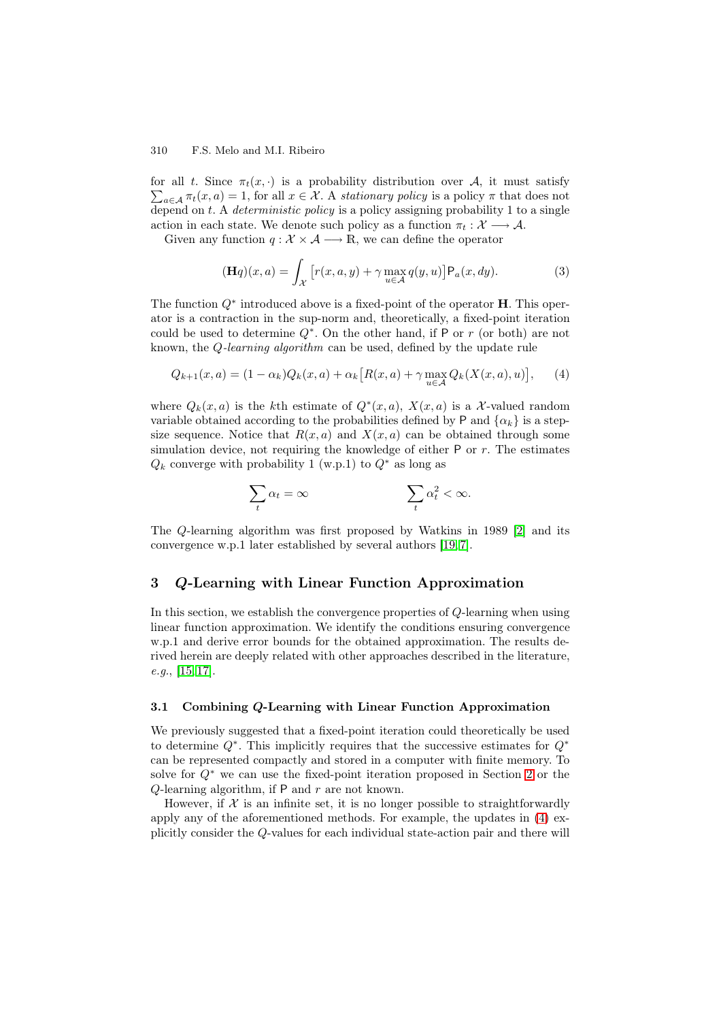for all t. Since  $\pi_t(x, \cdot)$  is a probability distribution over A, it must satisfy  $\sum_{a \in \mathcal{A}} \pi_t(x, a) = 1$ , for all  $x \in \mathcal{X}$ . A *stationary policy* is a policy  $\pi$  that does not depend on t. A *deterministic policy* is a policy assigning probability 1 to a single action in each state. We denote such policy as a function  $\pi_t : \mathcal{X} \longrightarrow \mathcal{A}$ .

Given any function  $q : \mathcal{X} \times \mathcal{A} \longrightarrow \mathbb{R}$ , we can define the operator

$$
(\mathbf{H}q)(x,a) = \int_{\mathcal{X}} \left[ r(x,a,y) + \gamma \max_{u \in \mathcal{A}} q(y,u) \right] P_a(x,dy). \tag{3}
$$

The function Q<sup>∗</sup> introduced above is a fixed-point of the operator **H**. This operator is a contraction in the sup-norm and, theoretically, a fixed-point iteration could be used to determine  $Q^*$ . On the other hand, if P or r (or both) are not known, the Q*-learning algorithm* can be used, defined by the update rule

$$
Q_{k+1}(x,a) = (1 - \alpha_k)Q_k(x,a) + \alpha_k [R(x,a) + \gamma \max_{u \in \mathcal{A}} Q_k(X(x,a),u)], \quad (4)
$$

where  $Q_k(x, a)$  is the kth estimate of  $Q^*(x, a)$ ,  $X(x, a)$  is a X-valued random variable obtained according to the probabilities defined by P and  $\{\alpha_k\}$  is a stepsize sequence. Notice that  $R(x, a)$  and  $X(x, a)$  can be obtained through some simulation device, not requiring the knowledge of either  $P$  or  $r$ . The estimates  $Q_k$  converge with probability 1 (w.p.1) to  $Q^*$  as long as

$$
\sum_t \alpha_t = \infty \qquad \qquad \sum_t \alpha_t^2 < \infty.
$$

The Q-learning algorithm was first proposed by Watkins in 1989 [2] and its convergence w.p.1 later established by several authors [19, 7].

## 3 *Q*-Learning with Linear Function Approximati[on](#page-13-1)

<span id="page-2-0"></span>In this section, we establish the convergence properties [of](#page-14-5) Q[-l](#page-13-6)earning when using linear function approximation. We identify the conditions ensuring convergence w.p.1 and derive error bounds for the obtained approximation. The results derived herein are deeply related with other approaches described in the literature, *e.g.*, [15, 17].

## 3.1 Combining *Q*-Learning with Linear Function Approximation

We p[rev](#page-14-2)[iou](#page-14-4)sly suggested that a fixed-point iteration could theoretically be used to determine Q<sup>∗</sup>. This implicitly requires that the successive estimates for Q<sup>∗</sup> can be represented compactly and stored in a computer with finite memory. To solve for  $Q^*$  we can use the fixed-point iteration proposed in Section 2 or the Q-learning algorithm, if  $P$  and  $r$  are not known.

However, if  $\mathcal X$  is an infinite set, it is no longer possible to straightforwardly apply any of the aforementioned methods. For example, the updates in (4) explicitly consider the Q-values for each individual state-action pair and [the](#page-1-2)re will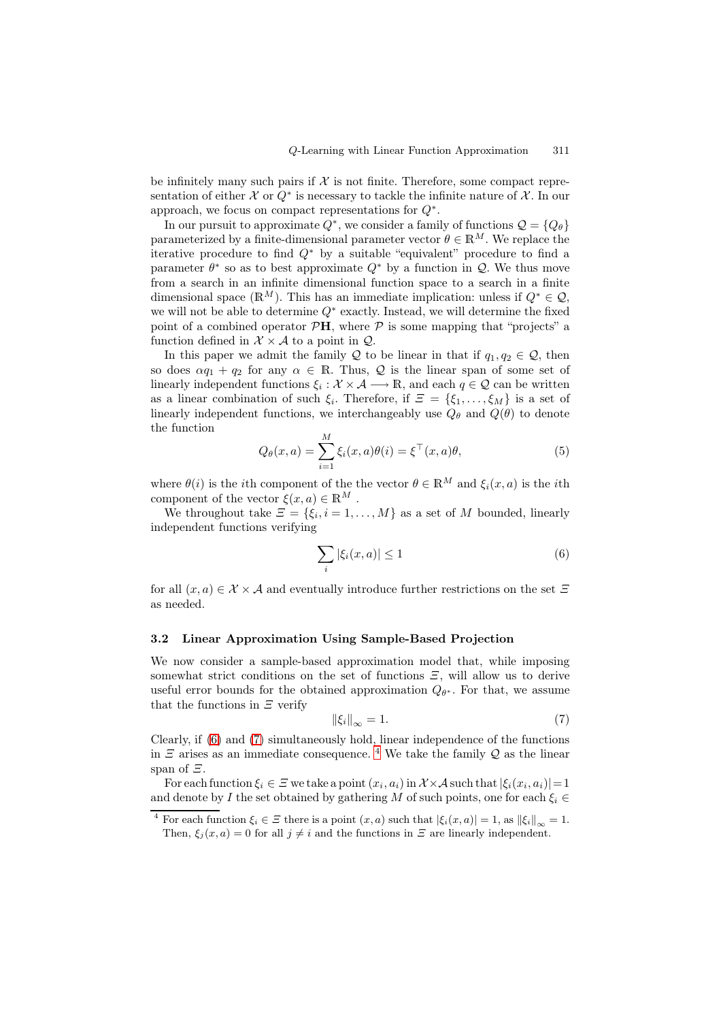be infinitely many such pairs if  $\mathcal X$  is not finite. Therefore, some compact representation of either X or  $Q^*$  is necessary to tackle the infinite nature of X. In our approach, we focus on compact representations for  $Q^*$ .

In our pursuit to approximate  $Q^*$ , we consider a family of functions  $\mathcal{Q} = \{Q_\theta\}$ parameterized by a finite-dimensional parameter vector  $\theta \in \mathbb{R}^M$ . We replace the iterative procedure to find  $Q^*$  by a suitable "equivalent" procedure to find a parameter  $\theta^*$  so as to best approximate  $Q^*$  by a function in  $\mathcal{Q}$ . We thus move from a search in an infinite dimensional function space to a search in a finite dimensional space ( $\mathbb{R}^M$ ). This has an immediate implication: unless if  $Q^* \in \mathcal{Q}$ , we will not be able to determine  $Q^*$  exactly. Instead, we will determine the fixed point of a combined operator  $\mathcal{P}H$ , where  $\mathcal P$  is some mapping that "projects" a function defined in  $\mathcal{X} \times \mathcal{A}$  to a point in  $\mathcal{Q}$ .

In this paper we admit the family Q to be linear in that if  $q_1, q_2 \in \mathcal{Q}$ , then so does  $\alpha q_1 + q_2$  for any  $\alpha \in \mathbb{R}$ . Thus, Q is the linear span of some set of linearly independent functions  $\xi_i : \mathcal{X} \times \mathcal{A} \longrightarrow \mathbb{R}$ , and each  $q \in \mathcal{Q}$  can be written as a linear combination of such  $\xi_i$ . Therefore, if  $\mathcal{Z} = {\xi_1, \ldots, \xi_M}$  is a set of linearly independent functions, we interchangeably use  $Q_{\theta}$  and  $Q(\theta)$  to denote the function

$$
Q_{\theta}(x, a) = \sum_{i=1}^{M} \xi_i(x, a)\theta(i) = \xi^{\top}(x, a)\theta,
$$
\n(5)

where  $\theta(i)$  is the *i*th component of the the vector  $\theta \in \mathbb{R}^M$  and  $\xi_i(x, a)$  is the *i*th component of the vector  $\xi(x, a) \in \mathbb{R}^M$ .

We throughout take  $\mathcal{Z} = \{\xi_i, i = 1, \ldots, M\}$  as a set of M bounded, linearly independent functions verifying

$$
\sum_{i} |\xi_i(x, a)| \le 1 \tag{6}
$$

<span id="page-3-0"></span>for all  $(x, a) \in \mathcal{X} \times \mathcal{A}$  and eventually introduce further restrictions on the set  $\Xi$ as needed.

## 3.2 Linear Approximation Using Sample-Based Projection

<span id="page-3-3"></span>We now consider a sample-based approximation model that, while imposing somewhat strict conditions on the set of functions  $\mathcal{Z}$ , will allow us to derive useful error bounds for the obtained approximation  $Q_{\theta^*}$ . For that, we assume that the functions in  $\mathcal{Z}$  verify

$$
\|\xi_i\|_{\infty} = 1.\tag{7}
$$

Clearly, if (6) and (7) simultaneously hold, linear independence of the functions in  $\Xi$  arises as an immediate consequence. <sup>4</sup> We take the family  $\mathcal Q$  as the linear span of Ξ.

<span id="page-3-1"></span>For each function  $\xi_i \in \Xi$  we take a point  $(x_i, a_i)$  in  $\mathcal{X} \times \mathcal{A}$  such that  $|\xi_i(x_i, a_i)| = 1$ and denote [by](#page-3-0) I th[e s](#page-3-1)et obtained by gathering M of such points, one for each  $\xi_i \in$ 

<span id="page-3-2"></span><sup>&</sup>lt;sup>4</sup> For each function  $\xi_i \in \mathcal{Z}$  there is a point  $(x,a)$  $(x,a)$  $(x,a)$  such that  $|\xi_i(x,a)| = 1$ , as  $||\xi_i||_{\infty} = 1$ . Then,  $\xi_j(x,a)=0$  for all  $j \neq i$  and the functions in  $\Xi$  are linearly independent.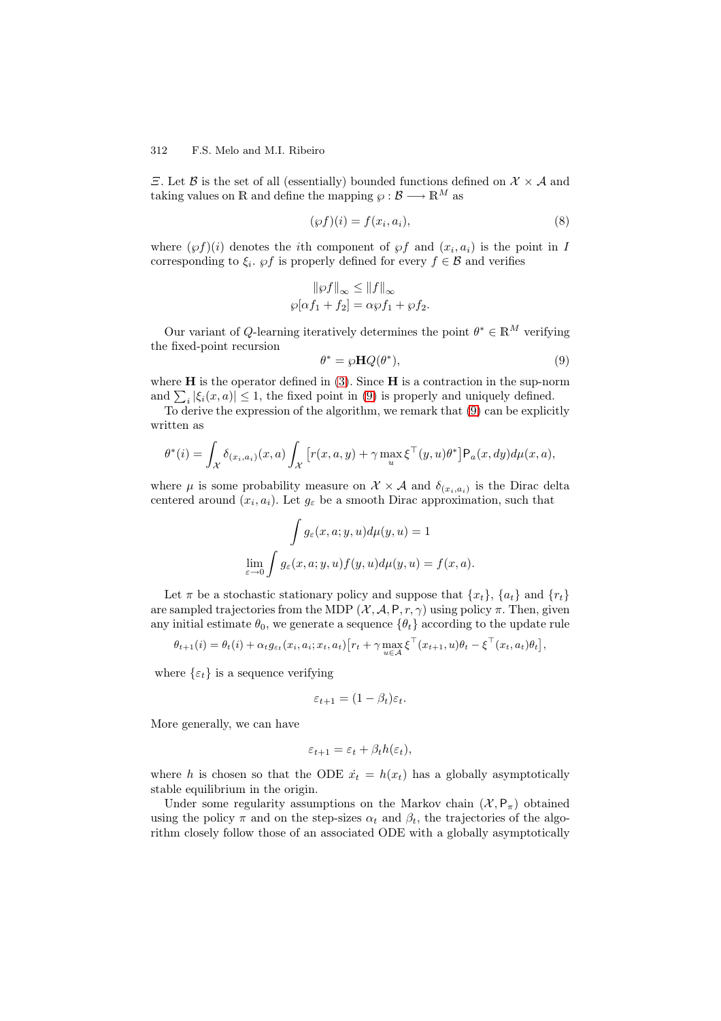$\Xi$ . Let  $\beta$  is the set of all (essentially) bounded functions defined on  $\mathcal{X} \times \mathcal{A}$  and taking values on R and define the mapping  $\wp : \mathcal{B} \longrightarrow \mathbb{R}^M$  as

$$
(\wp f)(i) = f(x_i, a_i),\tag{8}
$$

where  $(\wp f)(i)$  denotes the *i*th component of  $\wp f$  and  $(x_i, a_i)$  is the point in I corresponding to  $\xi_i$ .  $\varphi f$  is properly defined for every  $f \in \mathcal{B}$  and verifies

$$
\|\wp f\|_{\infty} \le \|f\|_{\infty}
$$

$$
\wp[\alpha f_1 + f_2] = \alpha \wp f_1 + \wp f_2
$$

Our variant of  $Q$ -learning iteratively determines the point  $\theta^* \in \mathbb{R}^M$  verifying the fixed-point recursion

$$
\theta^* = \wp \mathbf{H} Q(\theta^*),\tag{9}
$$

where  $H$  is the operator defined in  $(3)$ . Since  $H$  is a contraction in the sup-norm and  $\sum_i |\xi_i(x, a)| \leq 1$ , the fixed point in (9) is properly and uniquely defined.

<span id="page-4-0"></span>To derive the expression of the algorithm, we remark that (9) can be explicitly written as

$$
\theta^*(i) = \int_{\mathcal{X}} \delta_{(x_i, a_i)}(x, a) \int_{\mathcal{X}} \left[ r(x, a, y) + \gamma \max_u \xi^\top(y, u) \theta^* \right] P_a(x, dy) d\mu(x, a),
$$

where  $\mu$  is some probability measure on  $\mathcal{X} \times \mathcal{A}$  and  $\delta_{(x_i, a_i)}$  is the Dirac delta centered around  $(x_i, a_i)$ . Let  $g_{\varepsilon}$  be a smooth Dirac approximation, such that

$$
\int g_{\varepsilon}(x, a; y, u) d\mu(y, u) = 1
$$
  

$$
\lim_{\varepsilon \to 0} \int g_{\varepsilon}(x, a; y, u) f(y, u) d\mu(y, u) = f(x, a).
$$

Let  $\pi$  be a stochastic stationary policy and suppose that  $\{x_t\}$ ,  $\{a_t\}$  and  $\{r_t\}$ are sampled trajectories from the MDP  $(X, \mathcal{A}, P, r, \gamma)$  using policy  $\pi$ . Then, given any initial estimate  $\theta_0$ , we generate a sequence  $\{\theta_t\}$  according to the update rule

$$
\theta_{t+1}(i) = \theta_t(i) + \alpha_t g_{\varepsilon_t}(x_i, a_i; x_t, a_t) \big[ r_t + \gamma \max_{u \in \mathcal{A}} \xi^\top(x_{t+1}, u) \theta_t - \xi^\top(x_t, a_t) \theta_t \big],
$$

where  $\{\varepsilon_t\}$  is a sequence verifying

$$
\varepsilon_{t+1} = (1 - \beta_t)\varepsilon_t.
$$

More generally, we can have

$$
\varepsilon_{t+1} = \varepsilon_t + \beta_t h(\varepsilon_t),
$$

where h is chosen so that the ODE  $\dot{x}_t = h(x_t)$  has a globally asymptotically stable equilibrium in the origin.

Under some regularity assumptions on the Markov chain  $(\mathcal{X}, \mathsf{P}_\pi)$  obtained using the policy  $\pi$  and on the step-sizes  $\alpha_t$  and  $\beta_t$ , the trajectories of the algorithm closely follow those of an associated ODE with a globally asymptotically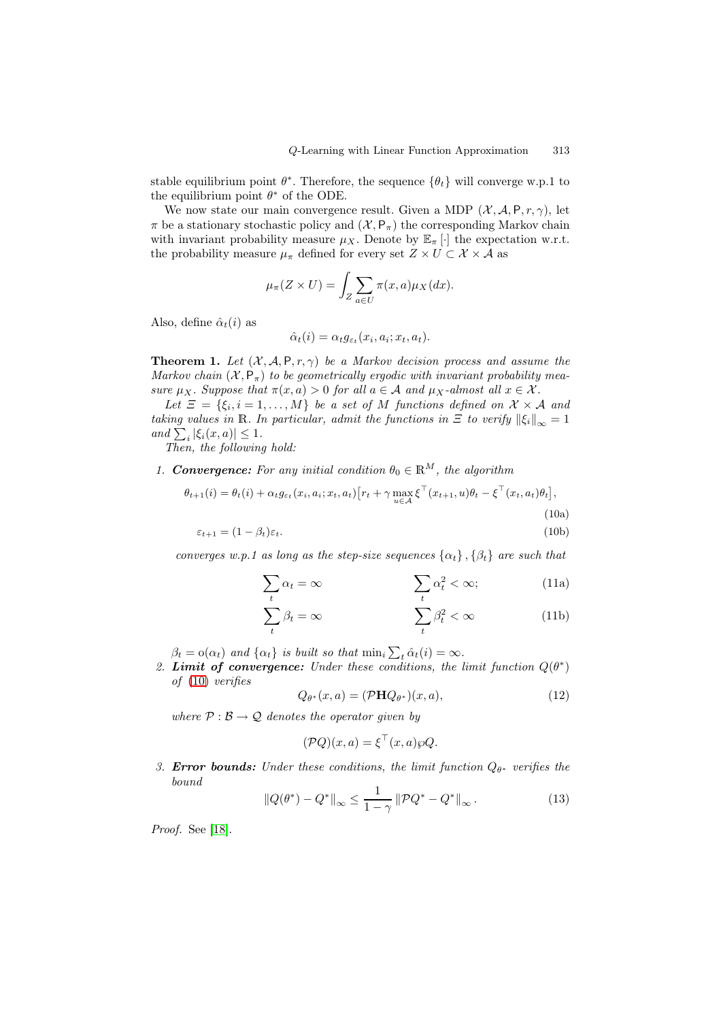stable equilibrium point  $\theta^*$ . Therefore, the sequence  $\{\theta_t\}$  will converge w.p.1 to the equilibrium point  $\theta^*$  of the ODE.

We now state our main convergence result. Given a MDP  $(\mathcal{X}, \mathcal{A}, P, r, \gamma)$ , let  $\pi$  be a stationary stochastic policy and  $(\mathcal{X}, \mathsf{P}_{\pi})$  the corresponding Markov chain with invariant probability measure  $\mu_X$ . Denote by  $\mathbb{E}_{\pi}[\cdot]$  the expectation w.r.t. the probability measure  $\mu_{\pi}$  defined for every set  $Z \times U \subset \mathcal{X} \times \mathcal{A}$  as

$$
\mu_{\pi}(Z \times U) = \int_{Z} \sum_{a \in U} \pi(x, a) \mu_{X}(dx).
$$

Also, define  $\hat{\alpha}_t(i)$  as

$$
\hat{\alpha}_t(i) = \alpha_t g_{\varepsilon_t}(x_i, a_i; x_t, a_t).
$$

**Theorem 1.** Let  $(X, \mathcal{A}, P, r, \gamma)$  be a Markov decision process and assume the *Markov chain*  $(X, P_{\pi})$  *to be geometrically ergodic with invariant probability measure*  $\mu_X$ *. Suppose that*  $\pi(x, a) > 0$  *for all*  $a \in \mathcal{A}$  *and*  $\mu_X$ *-almost all*  $x \in \mathcal{X}$ *.* 

<span id="page-5-0"></span>Let  $\Xi = \{\xi_i, i = 1, \ldots, M\}$  *be a set of* M *functions defined on*  $\mathcal{X} \times \mathcal{A}$  *and taking values in* R. In particular, admit the functions in  $\mathcal{F}$  to verify  $\|\xi_i\|_{\infty} = 1$  $and \sum_i |\xi_i(x, a)| \leq 1.$ 

*Then, the following hold:*

*1. Convergence:* For any initial condition  $\theta_0 \in \mathbb{R}^M$ , the algorithm

$$
\theta_{t+1}(i) = \theta_t(i) + \alpha_t g_{\varepsilon_t}(x_i, a_i; x_t, a_t) \Big[ r_t + \gamma \max_{u \in \mathcal{A}} \xi^\top(x_{t+1}, u) \theta_t - \xi^\top(x_t, a_t) \theta_t \Big],
$$
\n(10a)

$$
\varepsilon_{t+1} = (1 - \beta_t)\varepsilon_t. \tag{10b}
$$

*converges w.p.1 as long as the step-size sequences*  $\{\alpha_t\}$ ,  $\{\beta_t\}$  *are such that* 

<span id="page-5-1"></span>
$$
\sum_{t} \alpha_{t} = \infty \qquad \qquad \sum_{t} \alpha_{t}^{2} < \infty; \qquad (11a)
$$

$$
\sum_{t} \beta_t = \infty \qquad \qquad \sum_{t} \beta_t^2 < \infty \qquad (11b)
$$

 $\beta_t = o(\alpha_t)$  and  $\{\alpha_t\}$  is built so that  $\min_i \sum_t \hat{\alpha}_t(i) = \infty$ .

2. **Limit of convergence:** *Under these conditions, the limit function*  $Q(\theta^*)$ *of* (10) *verifies*

<span id="page-5-2"></span>
$$
Q_{\theta^*}(x, a) = (\mathcal{P} \mathbf{H} Q_{\theta^*})(x, a), \tag{12}
$$

*where*  $P : B \to Q$  *denotes the operator given by* 

$$
(\mathcal{P}Q)(x,a) = \xi^{\top}(x,a)\wp Q.
$$

*3. Error bounds: Under these conditions, the limit function*  $Q_{\theta^*}$  *verifies the bound*

$$
||Q(\theta^*) - Q^*||_{\infty} \le \frac{1}{1 - \gamma} ||PQ^* - Q^*||_{\infty}.
$$
 (13)

*Proof.* See [18].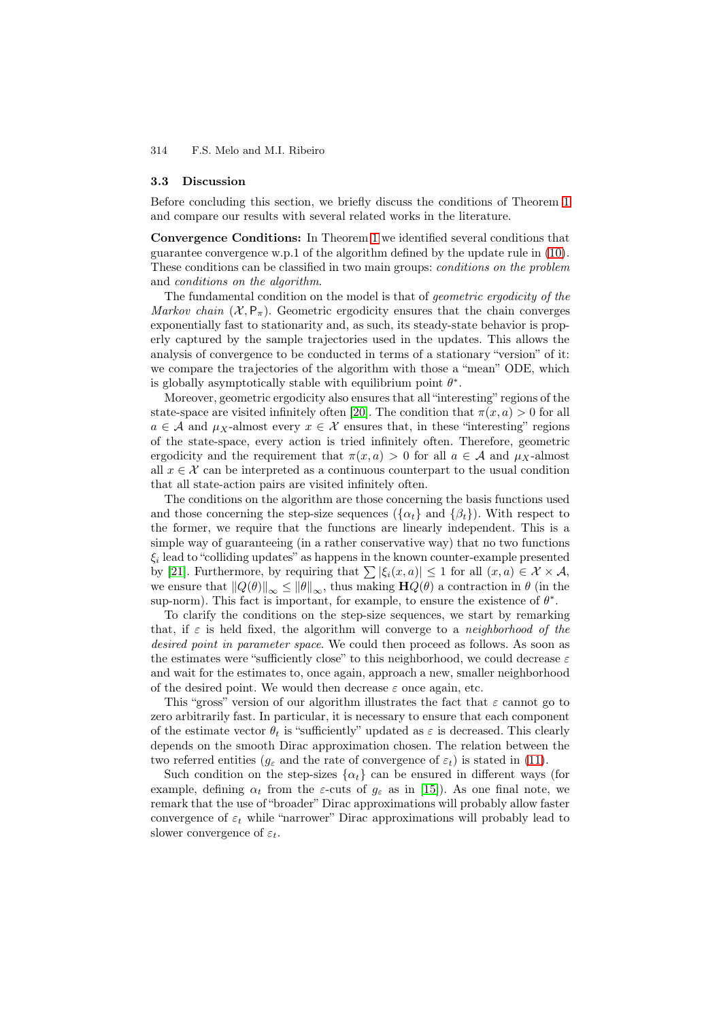#### 3.3 Discussion

Before concluding this section, we briefly discuss the conditions of Theorem 1 and compare our results with several related works in the literature.

Convergence Conditions: In Theorem 1 we identified several conditions that guarantee convergence w.p.1 of the algorithm defined by the update rule in (10). These conditions can be classified in two main groups: *conditions on the proble[m](#page-5-0)* and *conditions on the algorithm*.

The fundamental condition on the mod[el](#page-5-0) is that of *geometric ergodicity of the Markov chain*  $(X, P_{\pi})$ . Geometric ergodicity ensures that the chain conv[erge](#page-5-1)s exponentially fast to stationarity and, as such, its steady-state behavior is properly captured by the sample trajectories used in the updates. This allows the analysis of convergence to be conducted in terms of a stationary "version" of it: we compare the trajectories of the algorithm with those a "mean" ODE, which is globally asymptotically stable with equilibrium point  $\theta^*$ .

Moreover, geometric ergodicity also ensures that all "interesting" regions of the state-space are visited infinitely often [20]. The condition that  $\pi(x, a) > 0$  for all  $a \in \mathcal{A}$  and  $\mu_X$ -almost every  $x \in \mathcal{X}$  ensures that, in these "interesting" regions of the state-space, every action is tried infinitely often. Therefore, geometric ergodicity and the requirement that  $\pi(x, a) > 0$  for all  $a \in \mathcal{A}$  and  $\mu_X$ -almost all  $x \in \mathcal{X}$  can be interpreted as a cont[inu](#page-14-6)ous counterpart to the usual condition that all state-action pairs are visited infinitely often.

The conditions on the algorithm are those concerning the basis functions used and those concerning the step-size sequences ( $\{\alpha_t\}$  and  $\{\beta_t\}$ ). With respect to the former, we require that the functions are linearly independent. This is a simple way of guaranteeing (in a rather conservative way) that no two functions  $\xi_i$  lead to "colliding updates" as happens in the known counter-example presented by [21]. Furthermore, by requiring that  $\sum |\xi_i(x, a)| \leq 1$  for all  $(x, a) \in \mathcal{X} \times \mathcal{A}$ , we ensure that  $||Q(\theta)||_{\infty} \le ||\theta||_{\infty}$ , thus making  $\mathbf{H}Q(\theta)$  a contraction in  $\theta$  (in the sup-norm). This fact is important, for example, to ensure the existence of  $\theta^*$ .

To clarify the conditions on the step-size sequences, we start by remarking tha[t, i](#page-14-7)f  $\varepsilon$  is held fixed, the algorithm will converge to a *neighborhood of the desired point in parameter space*. We could then proceed as follows. As soon as the estimates were "sufficiently close" to this neighborhood, we could decrease  $\varepsilon$ and wait for the estimates to, once again, approach a new, smaller neighborhood of the desired point. We would then decrease  $\varepsilon$  once again, etc.

This "gross" version of our algorithm illustrates the fact that  $\varepsilon$  cannot go to zero arbitrarily fast. In particular, it is necessary to ensure that each component of the estimate vector  $\theta_t$  is "sufficiently" updated as  $\varepsilon$  is decreased. This clearly depends on the smooth Dirac approximation chosen. The relation between the two referred entities ( $g_{\varepsilon}$  and the rate of convergence of  $\varepsilon_t$ ) is stated in (11).

Such condition on the step-sizes  $\{\alpha_t\}$  can be ensured in different ways (for example, defining  $\alpha_t$  from the *ε*-cuts of  $g_\varepsilon$  as in [15]). As one final note, we remark that the use of "broader" Dirac approximations will probably allow faster convergence of  $\varepsilon_t$  while "narrower" Dirac approximations will probabl[y lea](#page-5-2)d to slower convergence of  $\varepsilon_t$ .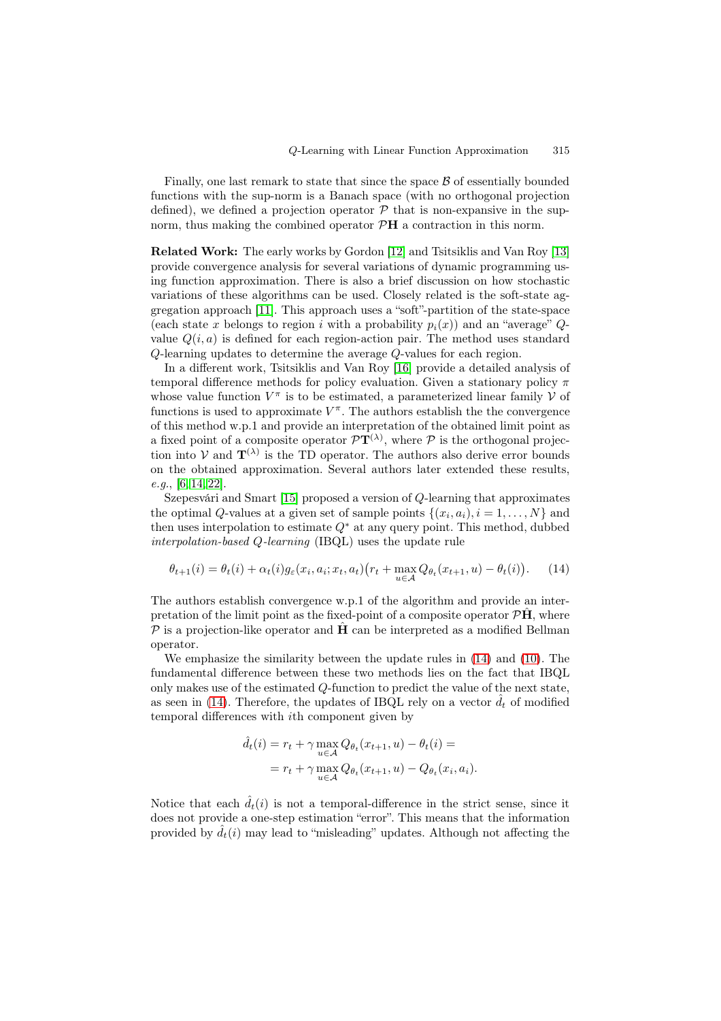Finally, one last remark to state that since the space  $\beta$  of essentially bounded functions with the sup-norm is a Banach space (with no orthogonal projection defined), we defined a projection operator  $\mathcal P$  that is non-expansive in the supnorm, thus making the combined operator P**H** a contraction in this norm.

Related Work: The early works by Gordon [12] and Tsitsiklis and Van Roy [13] provide convergence analysis for several variations of dynamic programming using function approximation. There is also a brief discussion on how stochastic variations of these algorithms can be used. Closely related is the soft-state aggregation approach [11]. This approach uses [a "s](#page-13-11)oft"-partition of the state-s[pace](#page-14-0) (each state x belongs to region i with a probability  $p_i(x)$ ) and an "average"  $Q$ value  $Q(i, a)$  is defined for each region-action pair. The method uses standard Q-learning updates to determine the average Q-values for each region.

In a different wor[k, T](#page-13-10)sitsiklis and Van Roy [16] provide a detailed analysis of temporal difference methods for policy evaluation. Given a stationary policy  $\pi$ whose value function  $V^{\pi}$  is to be estimated, a parameterized linear family V of functions is used to approximate  $V^{\pi}$ . The authors establish the the convergence of this method w.p.1 and provide an interpreta[tion](#page-14-3) of the obtained limit point as a fixed point of a composite operator  $\mathcal{P}T^{(\lambda)}$ , where  $\mathcal P$  is the orthogonal projection into  $V$  and  $\mathbf{T}^{(\lambda)}$  is the TD operator. The authors also derive error bounds on the obtained approximation. Several authors later extended these results, *e.g.*, [6, 14, 22].

Szepesvári and Smart [15] proposed a version of Q-learning that approximates the optimal Q-values at a given set of sample points  $\{(x_i, a_i), i = 1, \ldots, N\}$  and then uses interpolation to estimate  $Q^*$  at any query point. This method, dubbed *inter[po](#page-13-5)[lati](#page-14-1)[on-](#page-14-8)based* Q*-learning* (IBQL) uses the update rule

$$
\theta_{t+1}(i) = \theta_t(i) + \alpha_t(i)g_{\varepsilon}(x_i, a_i; x_t, a_t)(r_t + \max_{u \in \mathcal{A}} Q_{\theta_t}(x_{t+1}, u) - \theta_t(i)). \tag{14}
$$

The authors establish convergence w.p.1 of the algorithm and provide an interpretation of the limit point as the fixed-point of a composite operator  $\mathcal{P}\hat{\mathbf{H}}$ , where  $\mathcal P$  is a projection-like operator and **H** can be interpreted as a modified Bellman operator.

We emphasize the similarity between the update rules in (14) and (10). The fundamental difference between these two methods lies on the fact that IBQL only makes use of the estimated Q-function to predict the value of the next state, as seen in (14). Therefore, the updates of IBQL rely on a vector  $\hat{d}_t$  of modified temporal differences with ith component given by

$$
\hat{d}_t(i) = r_t + \gamma \max_{u \in \mathcal{A}} Q_{\theta_t}(x_{t+1}, u) - \theta_t(i) =
$$
  
= 
$$
r_t + \gamma \max_{u \in \mathcal{A}} Q_{\theta_t}(x_{t+1}, u) - Q_{\theta_t}(x_i, a_i).
$$

Notice that each  $\hat{d}_t(i)$  is not a temporal-difference in the strict sense, since it does not provide a one-step estimation "error". This means that the information provided by  $\hat{d}_t(i)$  may lead to "misleading" updates. Although not affecting the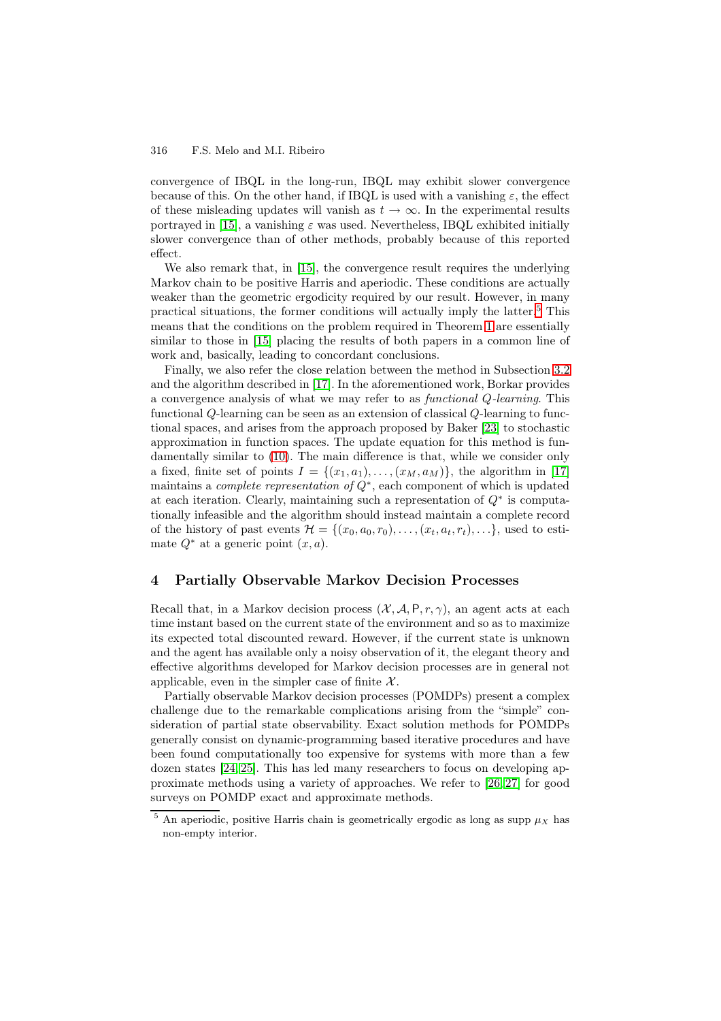convergence of IBQL in the long-run, IBQL may exhibit slower convergence because of this. On the other hand, if IBQL is used with a vanishing  $\varepsilon$ , the effect of these misleading updates will vanish as  $t \to \infty$ . In the experimental results portrayed in [15], a vanishing  $\varepsilon$  was used. Nevertheless, IBQL exhibited initially slower convergence than of other methods, probably because of this reported effect.

We also remark that, in [15], the convergence result requires the underlying Markov chai[n to](#page-14-2) be positive Harris and aperiodic. These conditions are actually weaker than the geometric ergodicity required by our result. However, in many practical situations, the former conditions will actually imply the latter.<sup>5</sup> This means that the conditions o[n th](#page-14-2)e problem required in Theorem 1 are essentially similar to those in [15] placing the results of both papers in a common line of work and, basically, leading to concordant conclusions.

Finally, we also refer the close relation between the method in Subsect[io](#page-8-0)n 3.2 and the algorithm described in [17]. In the aforementioned work, [B](#page-5-0)orkar provides a convergence anal[ysis](#page-14-2) of what we may refer to as *functional* Q*-learning*. This functional Q-learning can be seen as an extension of classical Q-learning to functional spaces, and arises from the approach proposed by Baker [23] to stocha[stic](#page-3-3) approximation in function spa[ces.](#page-14-4) The update equation for this method is fundamentally similar to (10). The main difference is that, while we consider only a fixed, finite set of points  $I = \{(x_1, a_1), \ldots, (x_M, a_M)\}\)$ , the algorithm in [17] maintains a *complete representation of* Q<sup>∗</sup>, each component of [whi](#page-14-9)ch is updated at each iteration. Clearly, maintaining such a representation of  $Q^*$  is computationally infeasible and [the](#page-5-1) algorithm should instead maintain a complete record of the history of past events  $\mathcal{H} = \{(x_0, a_0, r_0), \ldots, (x_t, a_t, r_t), \ldots\}$ , used to [esti](#page-14-4)mate  $Q^*$  at a generic point  $(x, a)$ .

# 4 Partially Observable Markov Decision Processes

Recall that, in a Markov decision process  $(X, \mathcal{A}, P, r, \gamma)$ , an agent acts at each time instant based on the current state of the environment and so as to maximize its expected total discounted reward. However, if the current state is unknown and the agent has available only a noisy observation of it, the elegant theory and effective algorithms developed for Markov decision processes are in general not applicable, even in the simpler case of finite  $\mathcal{X}$ .

Partially observable Markov decision processes (POMDPs) present a complex challenge due to the remarkable complications arising from the "simple" consideration of partial state observability. Exact solution methods for POMDPs generally consist on dynamic-programming based iterative procedures and have been found computationally too expensive for systems with more than a few dozen states [24, 25]. This has led many researchers to focus on developing approximate methods using a variety of approaches. We refer to [26, 27] for good surveys on POMDP exact and approximate methods.

<span id="page-8-0"></span><sup>&</sup>lt;sup>5</sup> An aperiodic, positive Harris chain is geometrically ergodic as long as supp  $\mu_X$  has non-empty i[nte](#page-14-10)[rior.](#page-14-11)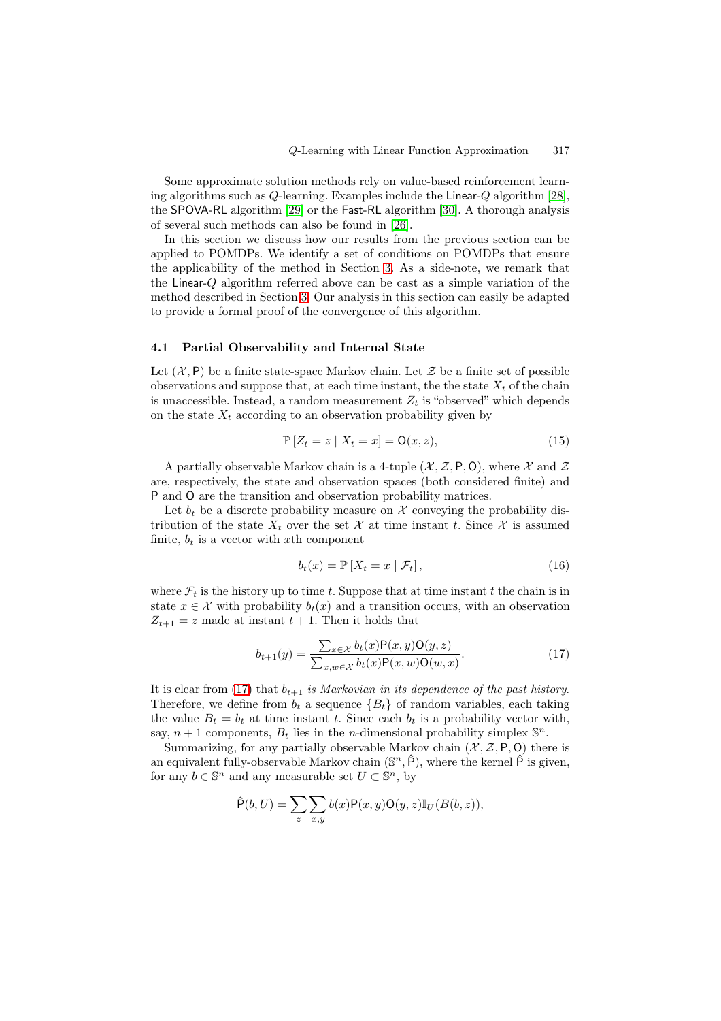Some approximate solution methods rely on value-based reinforcement learning algorithms such as Q-learning. Examples include the Linear-Q algorithm [28], the SPOVA-RL algorithm [29] or the Fast-RL algorithm [30]. A thorough analysis of several such methods can also be found in [26].

In this section we discuss how our results from the previous section can be applied to POMDPs. We identify a set of conditions on POMDPs that en[sure](#page-14-12) the applicability of the [meth](#page-14-13)od in Section 3. As a si[de-n](#page-14-14)ote, we remark that the Linear-Q algorithm referred above can be [ca](#page-14-15)st as a simple variation of the method described in Section 3. Our analysis in this section can easily be adapted to provide a formal proof of the convergence of this algorithm.

## 4.1 Partial Observabili[ty](#page-2-0) and Internal State

Let  $(X, P)$  be a finite state-space Markov chain. Let Z be a finite set of possible observations and suppose that, at each time instant, the the state  $X_t$  of the chain is unaccessible. Instead, a random measurement  $Z_t$  is "observed" which depends on the state  $X_t$  according to an observation probability given by

$$
\mathbb{P}\left[Z_t = z \mid X_t = x\right] = \mathsf{O}(x, z),\tag{15}
$$

A partially observable Markov chain is a 4-tuple  $(\mathcal{X}, \mathcal{Z}, P, O)$ , where X and Z are, respectively, the state and observation spaces (both considered finite) and P and O are the transition and observation probability matrices.

Let  $b_t$  be a discrete probability measure on X conveying the probability distribution of the state  $X_t$  over the set X at time instant t. Since X is assumed finite,  $b_t$  is a vector with xth component

$$
b_t(x) = \mathbb{P}\left[X_t = x \mid \mathcal{F}_t\right],\tag{16}
$$

where  $\mathcal{F}_t$  is the history up to time t. Suppose that at time instant t the chain is in state  $x \in \mathcal{X}$  with probability  $b_t(x)$  and a transition occurs, with an observation  $Z_{t+1} = z$  made at instant  $t + 1$ . Then it holds that

<span id="page-9-0"></span>
$$
b_{t+1}(y) = \frac{\sum_{x \in \mathcal{X}} b_t(x) \mathsf{P}(x, y) \mathsf{O}(y, z)}{\sum_{x, w \in \mathcal{X}} b_t(x) \mathsf{P}(x, w) \mathsf{O}(w, x)}.
$$
(17)

It is clear from  $(17)$  that  $b_{t+1}$  *is Markovian in its dependence of the past history.* Therefore, we define from  $b_t$  a sequence  ${B_t}$  of random variables, each taking the value  $B_t = b_t$  at time instant t. Since each  $b_t$  is a probability vector with, say,  $n + 1$  components,  $B_t$  lies in the *n*-dimensional probability simplex  $\mathbb{S}^n$ .

Summarizing[, fo](#page-9-0)r any partially observable Markov chain  $(X, \mathcal{Z}, P, O)$  there is an equivalent fully-observable Markov chain  $(\mathbb{S}^n, \hat{P})$ , where the kernel  $\hat{P}$  is given, for any  $b \in \mathbb{S}^n$  and any measurable set  $U \subset \mathbb{S}^n$ , by

$$
\hat{\mathsf{P}}(b,U) = \sum_{z} \sum_{x,y} b(x) \mathsf{P}(x,y) \mathsf{O}(y,z) \mathbb{I}_{U}(B(b,z)),
$$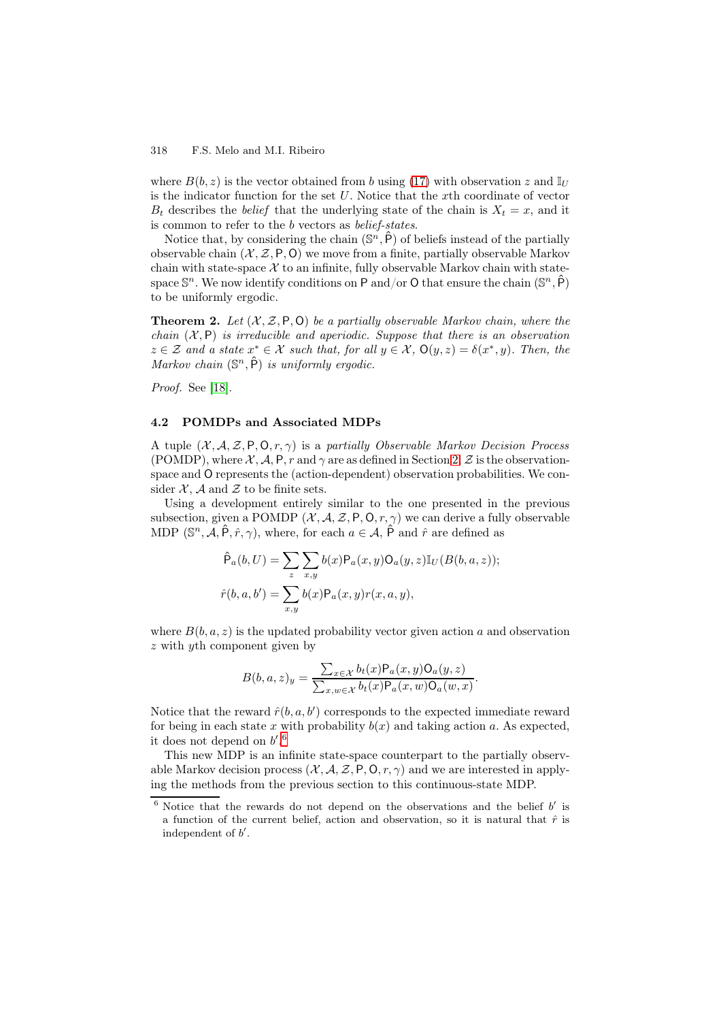where  $B(b, z)$  is the vector obtained from b using (17) with observation z and  $\mathbb{I}_U$ is the indicator function for the set U. Notice that the xth coordinate of vector  $B_t$  describes the *belief* that the underlying state of the chain is  $X_t = x$ , and it is common to refer to the b vectors as *belief-states*.

Notice that, by considering the chain  $(\mathbb{S}^n, \hat{P})$  of [bel](#page-9-0)iefs instead of the partially observable chain  $(X, \mathcal{Z}, P, O)$  we move from a finite, partially observable Markov chain with state-space  $\mathcal X$  to an infinite, fully observable Markov chain with statespace  $\mathbb{S}^n$ . We now identify conditions on P and/or O that ensure the chain  $(\mathbb{S}^n, \mathsf{P})$ to be uniformly ergodic.

**Theorem 2.** Let  $(X, \mathcal{Z}, P, O)$  be a partially observable Markov chain, where the *chain* (X, P) *is irreducible and aperiodic. Suppose that there is an observation*  $z \in \mathcal{Z}$  and a state  $x^* \in \mathcal{X}$  such that, for all  $y \in \mathcal{X}$ ,  $\mathsf{O}(y, z) = \delta(x^*, y)$ *. Then, the Markov chain*  $(\mathbb{S}^n, \hat{P})$  *is uniformly ergodic.* 

<span id="page-10-1"></span>*Proof.* See [18].

## 4.2 POMDPs and Associated MDPs

A tuple (X, [A](#page-14-16), Z, P, O, r, γ) is a *partially Observable Markov Decision Process* (POMDP), where  $\mathcal{X}, \mathcal{A}, P, r$  and  $\gamma$  are as defined in Section 2,  $\mathcal{Z}$  is the observationspace and O represents the (action-dependent) observation probabilities. We consider  $X$ , A and Z to be finite sets.

Using a development entirely similar to the one presented in the previous subsection, given a POMDP  $(X, \mathcal{A}, \mathcal{Z}, P, O, r, \gamma)$  we can d[er](#page-1-2)ive a fully observable MDP ( $\mathbb{S}^n$ ,  $\mathcal{A}, \hat{P}, \hat{r}, \gamma$ ), where, for each  $a \in \mathcal{A}, \hat{P}$  and  $\hat{r}$  are defined as

$$
\hat{\mathsf{P}}_a(b, U) = \sum_z \sum_{x,y} b(x) \mathsf{P}_a(x, y) \mathsf{O}_a(y, z) \mathbb{I}_U(B(b, a, z));
$$
  

$$
\hat{r}(b, a, b') = \sum_{x,y} b(x) \mathsf{P}_a(x, y) r(x, a, y),
$$

where  $B(b, a, z)$  is the updated probability vector given action a and observation z with yth component given by

$$
B(b,a,z)_y = \frac{\sum_{x \in \mathcal{X}} b_t(x) \mathsf{P}_a(x,y) \mathsf{O}_a(y,z)}{\sum_{x,w \in \mathcal{X}} b_t(x) \mathsf{P}_a(x,w) \mathsf{O}_a(w,x)}.
$$

Notice that the reward  $\hat{r}(b, a, b')$  corresponds to the expected immediate reward for being in each state x with probability  $b(x)$  and taking action a. As expected, it does not depend on  $b'.6$ 

This new MDP is an infinite state-space counterpart to the partially observable Markov decision process  $(X, \mathcal{A}, \mathcal{Z}, P, Q, r, \gamma)$  and we are interested in applying the methods from the previous section to this continuous-state MDP.

<span id="page-10-0"></span> $6$  Notice that the reward[s](#page-10-0) do not depend on the observations and the belief  $b'$  is a function of the current belief, action and observation, so it is natural that  $\hat{r}$  is independent of  $b'$ .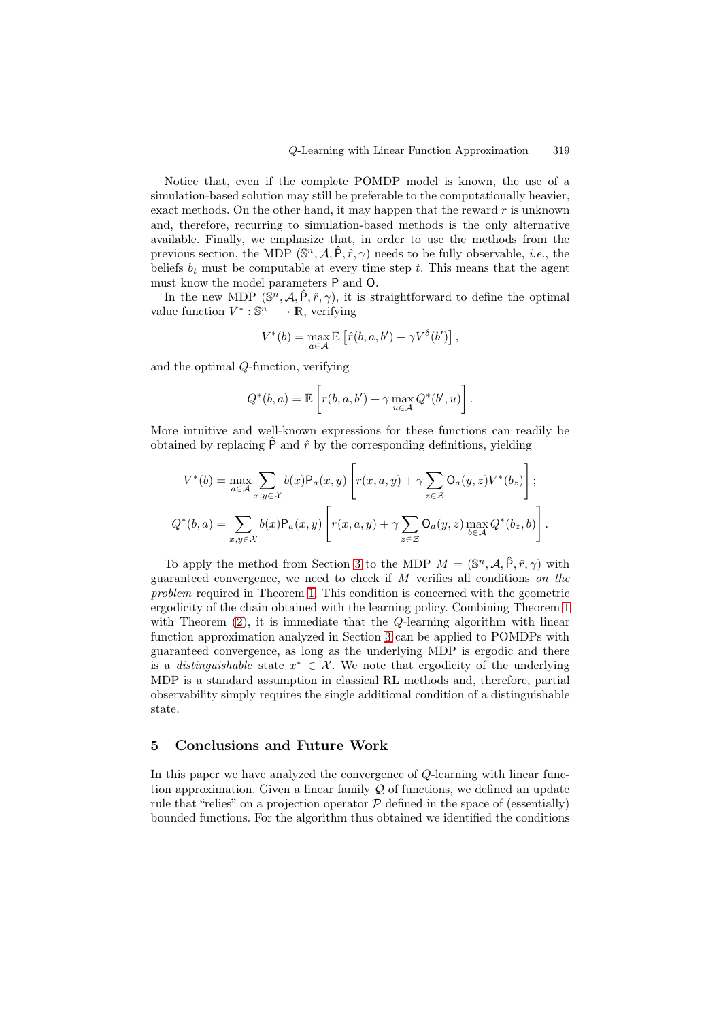Notice that, even if the complete POMDP model is known, the use of a simulation-based solution may still be preferable to the computationally heavier, exact methods. On the other hand, it may happen that the reward  $r$  is unknown and, therefore, recurring to simulation-based methods is the only alternative available. Finally, we emphasize that, in order to use the methods from the previous section, the MDP  $(\mathbb{S}^n, \mathcal{A}, \hat{P}, \hat{r}, \gamma)$  needs to be fully observable, *i.e.*, the beliefs  $b_t$  must be computable at every time step t. This means that the agent must know the model parameters P and O.

In the new MDP  $(\mathbb{S}^n, \mathcal{A}, \hat{P}, \hat{r}, \gamma)$ , it is straightforward to define the optimal value function  $V^* : \mathbb{S}^n \longrightarrow \mathbb{R}$ , verifying

$$
V^*(b) = \max_{a \in \mathcal{A}} \mathbb{E} \left[ \hat{r}(b, a, b') + \gamma V^{\delta}(b') \right],
$$

and the optimal Q-function, verifying

$$
Q^*(b, a) = \mathbb{E}\left[r(b, a, b') + \gamma \max_{u \in \mathcal{A}} Q^*(b', u)\right].
$$

More intuitive and well-known expressions for these functions can readily be obtained by replacing  $\hat{P}$  and  $\hat{r}$  by the corresponding definitions, yielding

$$
V^*(b) = \max_{a \in A} \sum_{x,y \in \mathcal{X}} b(x) P_a(x,y) \left[ r(x,a,y) + \gamma \sum_{z \in \mathcal{Z}} O_a(y,z) V^*(b_z) \right];
$$
  

$$
Q^*(b,a) = \sum_{x,y \in \mathcal{X}} b(x) P_a(x,y) \left[ r(x,a,y) + \gamma \sum_{z \in \mathcal{Z}} O_a(y,z) \max_{b \in \mathcal{A}} Q^*(b_z,b) \right].
$$

To apply the method from Section 3 to the MDP  $M = (\mathbb{S}^n, \mathcal{A}, \hat{P}, \hat{r}, \gamma)$  with guaranteed convergence, we need to check if M verifies all conditions *on the problem* required in Theorem 1. This condition is concerned with the geometric ergodicity of the chain obtained with the learning policy. Combining Theorem 1 with Theorem  $(2)$ , it is immediate t[hat](#page-2-0) the Q-learning algorithm with linear function approximation analyzed in Section 3 can be applied to POMDPs with guaranteed convergence, as l[on](#page-5-0)g as the underlying MDP is ergodic and there is a *disti[ng](#page-5-0)uishable* state  $x^* \in \mathcal{X}$ . We note that ergodicity of the underlying MDP is a stan[dar](#page-10-1)d assumption in classical RL methods and, therefore, partial observability simply requires the single addi[tio](#page-2-0)nal condition of a distinguishable state.

## 5 Conclusions and Future Work

In this paper we have analyzed the convergence of Q-learning with linear function approximation. Given a linear family  $\mathcal Q$  of functions, we defined an update rule that "relies" on a projection operator  $P$  defined in the space of (essentially) bounded functions. For the algorithm thus obtained we identified the conditions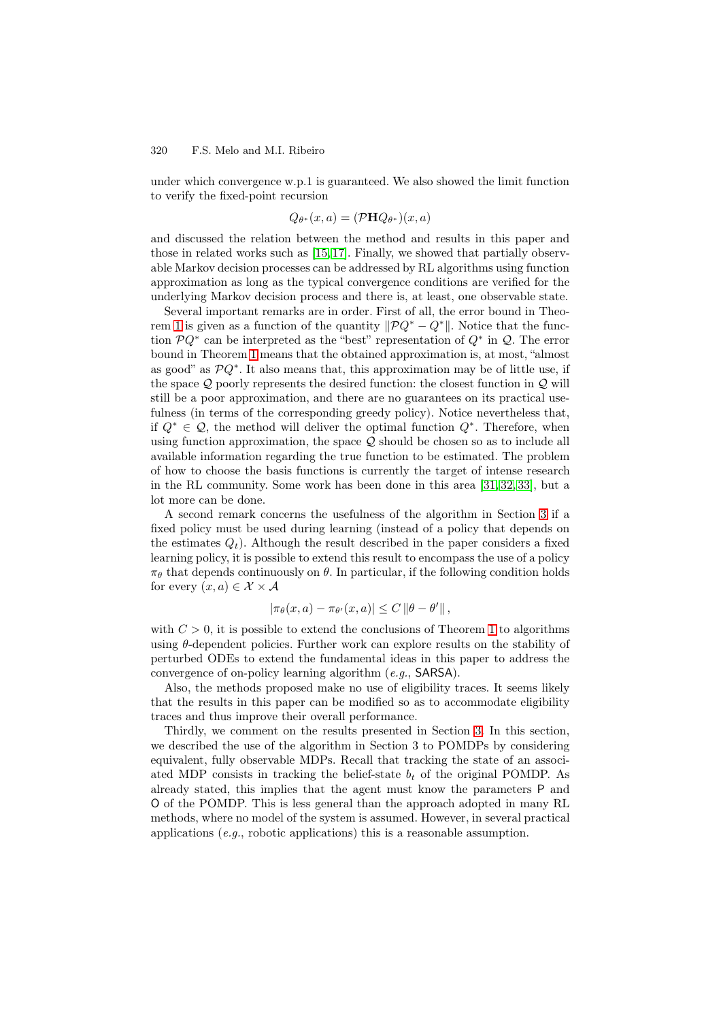under which convergence w.p.1 is guaranteed. We also showed the limit function to verify the fixed-point recursion

$$
Q_{\theta^*}(x, a) = (\mathcal{P} \mathbf{H} Q_{\theta^*})(x, a)
$$

and discussed the relation between the method and results in this paper and those in related works such as [15, 17]. Finally, we showed that partially observable Markov decision processes can be addressed by RL algorithms using function approximation as long as the typical convergence conditions are verified for the underlying Markov decision process and there is, at least, one observable state.

Several important remarks [are](#page-14-2) [in o](#page-14-4)rder. First of all, the error bound in Theorem 1 is given as a function of the quantity  $\|\mathcal{P}Q^* - Q^*\|$ . Notice that the function  $\mathcal{P}Q^*$  can be interpreted as the "best" representation of  $Q^*$  in  $\mathcal{Q}$ . The error bound in Theorem 1 means that the obtained approximation is, at most, "almost as good" as  $\mathcal{P}Q^*$ . It also means that, this approximation may be of little use, if the [sp](#page-5-0)ace  $\mathcal Q$  poorly represents the desired function: the closest function in  $\mathcal Q$  will still be a poor approximation, and there are no guarantees on its practical usefulness (in terms o[f t](#page-5-0)he corresponding greedy policy). Notice nevertheless that, if  $Q^*$  ∈  $Q$ , the method will deliver the optimal function  $Q^*$ . Therefore, when using function approximation, the space  $Q$  should be chosen so as to include all available information regarding the true function to be estimated. The problem of how to choose the basis functions is currently the target of intense research in the RL community. Some work has been done in this area [31, 32, 33], but a lot more can be done.

A second remark concerns the usefulness of the algorithm in Section 3 if a fixed policy must be used during learning (instead of a policy that depends on the estimates  $Q_t$ ). Although the result described in the paper [con](#page-14-17)[sid](#page-14-18)[ers](#page-14-19) a fixed learning policy, it is possible to extend this result to encompass the use of a policy  $\pi_{\theta}$  that depends continuously on  $\theta$ . In particular, if the following condition [h](#page-2-0)olds for every  $(x, a) \in \mathcal{X} \times \mathcal{A}$ 

$$
|\pi_{\theta}(x, a) - \pi_{\theta'}(x, a)| \leq C ||\theta - \theta'||,
$$

with  $C > 0$ , it is possible to extend the conclusions of Theorem 1 to algorithms using  $\theta$ -dependent policies. Further work can explore results on the stability of perturbed ODEs to extend the fundamental ideas in this paper to address the convergence of on-policy learning algorithm (*e.g.*, SARSA).

Also, the methods proposed make no use of eligibility traces[. I](#page-5-0)t seems likely that the results in this paper can be modified so as to accommodate eligibility traces and thus improve their overall performance.

Thirdly, we comment on the results presented in Section 3. In this section, we described the use of the algorithm in Section 3 to POMDPs by considering equivalent, fully observable MDPs. Recall that tracking the state of an associated MDP consists in tracking the belief-state  $b_t$  of the original POMDP. As already stated, this implies that the agent must know the [pa](#page-2-0)rameters P and O of the POMDP. This is less general than the approach adopted in many RL methods, where no model of the system is assumed. However, in several practical applications (*e.g.*, robotic applications) this is a reasonable assumption.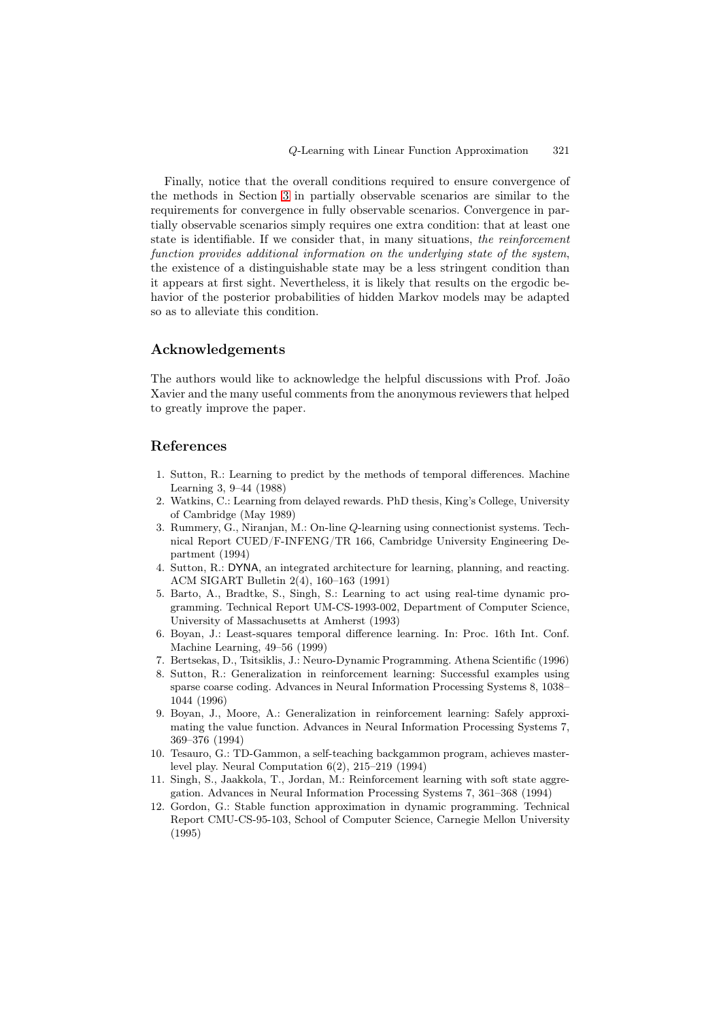Finally, notice that the overall conditions required to ensure convergence of the methods in Section 3 in partially observable scenarios are similar to the requirements for convergence in fully observable scenarios. Convergence in partially observable scenarios simply requires one extra condition: that at least one state is identifiable. If we consider that, in many situations, *the reinforcement function provides additi[ona](#page-2-0)l information on the underlying state of the system*, the existence of a distinguishable state may be a less stringent condition than it appears at first sight. Nevertheless, it is likely that results on the ergodic behavior of the posterior probabilities of hidden Markov models may be adapted so as to alleviate this condition.

# Acknowledgements

The authors would like to acknowledge the helpful discussions with Prof. João Xavier and the many useful comments from the anonymous reviewers that helped to greatly improve the paper.

## References

- 1. Sutton, R.: Learning to predict by the methods of temporal differences. Machine Learning 3, 9–44 (1988)
- 2. Watkins, C.: Learning from delayed rewards. PhD thesis, King's College, University of Cambridge (May 1989)
- <span id="page-13-0"></span>3. Rummery, G., Niranjan, M.: On-line Q-learning using connectionist systems. Technical Report CUED/F-INFENG/TR 166, Cambridge University Engineering Department (1994)
- <span id="page-13-2"></span><span id="page-13-1"></span>4. Sutton, R.: DYNA, an integrated architecture for learning, planning, and reacting. ACM SIGART Bulletin 2(4), 160–163 (1991)
- 5. Barto, A., Bradtke, S., Singh, S.: Learning to act using real-time dynamic programming. Technical Report UM-CS-1993-002, Department of Computer Science, University of Massachusetts at Amherst (1993)
- <span id="page-13-4"></span><span id="page-13-3"></span>6. Boyan, J.: Least-squares temporal difference learning. In: Proc. 16th Int. Conf. Machine Learning, 49–56 (1999)
- 7. Bertsekas, D., Tsitsiklis, J.: Neuro-Dynamic Programming. Athena Scientific (1996)
- <span id="page-13-5"></span>8. Sutton, R.: Generalization in reinforcement learning: Successful examples using sparse coarse coding. Advances in Neural Information Processing Systems 8, 1038– 1044 (1996)
- <span id="page-13-7"></span><span id="page-13-6"></span>9. Boyan, J., Moore, A.: Generalization in reinforcement learning: Safely approximating the value function. Advances in Neural Information Processing Systems 7, 369–376 (1994)
- <span id="page-13-8"></span>10. Tesauro, G.: TD-Gammon, a self-teaching backgammon program, achieves masterlevel play. Neural Computation 6(2), 215–219 (1994)
- 11. Singh, S., Jaakkola, T., Jordan, M.: Reinforcement learning with soft state aggregation. Advances in Neural Information Processing Systems 7, 361–368 (1994)
- <span id="page-13-11"></span><span id="page-13-10"></span><span id="page-13-9"></span>12. Gordon, G.: Stable function approximation in dynamic programming. Technical Report CMU-CS-95-103, School of Computer Science, Carnegie Mellon University (1995)